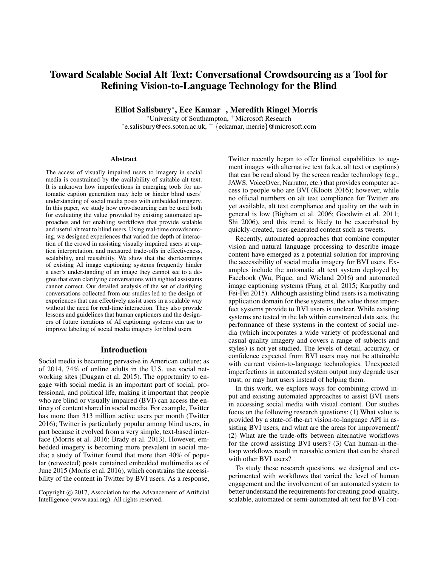# Toward Scalable Social Alt Text: Conversational Crowdsourcing as a Tool for Refining Vision-to-Language Technology for the Blind

Elliot Salisbury\*, Ece Kamar<sup>+</sup>, Meredith Ringel Morris<sup>+</sup>

<sup>∗</sup>University of Southampton, <sup>+</sup>Microsoft Research ∗ e.salisbury@ecs.soton.ac.uk, <sup>+</sup> {eckamar, merrie}@microsoft.com

#### Abstract

The access of visually impaired users to imagery in social media is constrained by the availability of suitable alt text. It is unknown how imperfections in emerging tools for automatic caption generation may help or hinder blind users' understanding of social media posts with embedded imagery. In this paper, we study how crowdsourcing can be used both for evaluating the value provided by existing automated approaches and for enabling workflows that provide scalable and useful alt text to blind users. Using real-time crowdsourcing, we designed experiences that varied the depth of interaction of the crowd in assisting visually impaired users at caption interpretation, and measured trade-offs in effectiveness, scalability, and reusability. We show that the shortcomings of existing AI image captioning systems frequently hinder a user's understanding of an image they cannot see to a degree that even clarifying conversations with sighted assistants cannot correct. Our detailed analysis of the set of clarifying conversations collected from our studies led to the design of experiences that can effectively assist users in a scalable way without the need for real-time interaction. They also provide lessons and guidelines that human captioners and the designers of future iterations of AI captioning systems can use to improve labeling of social media imagery for blind users.

#### Introduction

Social media is becoming pervasive in American culture; as of 2014, 74% of online adults in the U.S. use social networking sites (Duggan et al. 2015). The opportunity to engage with social media is an important part of social, professional, and political life, making it important that people who are blind or visually impaired (BVI) can access the entirety of content shared in social media. For example, Twitter has more than 313 million active users per month (Twitter 2016); Twitter is particularly popular among blind users, in part because it evolved from a very simple, text-based interface (Morris et al. 2016; Brady et al. 2013). However, embedded imagery is becoming more prevalent in social media; a study of Twitter found that more than 40% of popular (retweeted) posts contained embedded multimedia as of June 2015 (Morris et al. 2016), which constrains the accessibility of the content in Twitter by BVI users. As a response,

Twitter recently began to offer limited capabilities to augment images with alternative text (a.k.a. alt text or captions) that can be read aloud by the screen reader technology (e.g., JAWS, VoiceOver, Narrator, etc.) that provides computer access to people who are BVI (Kloots 2016); however, while no official numbers on alt text compliance for Twitter are yet available, alt text compliance and quality on the web in general is low (Bigham et al. 2006; Goodwin et al. 2011; Shi 2006), and this trend is likely to be exacerbated by quickly-created, user-generated content such as tweets.

Recently, automated approaches that combine computer vision and natural language processing to describe image content have emerged as a potential solution for improving the accessibility of social media imagery for BVI users. Examples include the automatic alt text system deployed by Facebook (Wu, Pique, and Wieland 2016) and automated image captioning systems (Fang et al. 2015; Karpathy and Fei-Fei 2015). Although assisting blind users is a motivating application domain for these systems, the value these imperfect systems provide to BVI users is unclear. While existing systems are tested in the lab within constrained data sets, the performance of these systems in the context of social media (which incorporates a wide variety of professional and casual quality imagery and covers a range of subjects and styles) is not yet studied. The levels of detail, accuracy, or confidence expected from BVI users may not be attainable with current vision-to-language technologies. Unexpected imperfections in automated system output may degrade user trust, or may hurt users instead of helping them.

In this work, we explore ways for combining crowd input and existing automated approaches to assist BVI users in accessing social media with visual content. Our studies focus on the following research questions: (1) What value is provided by a state-of-the-art vision-to-language API in assisting BVI users, and what are the areas for improvement? (2) What are the trade-offs between alternative workflows for the crowd assisting BVI users? (3) Can human-in-theloop workflows result in reusable content that can be shared with other BVI users?

To study these research questions, we designed and experimented with workflows that varied the level of human engagement and the involvement of an automated system to better understand the requirements for creating good-quality, scalable, automated or semi-automated alt text for BVI con-

Copyright (c) 2017, Association for the Advancement of Artificial Intelligence (www.aaai.org). All rights reserved.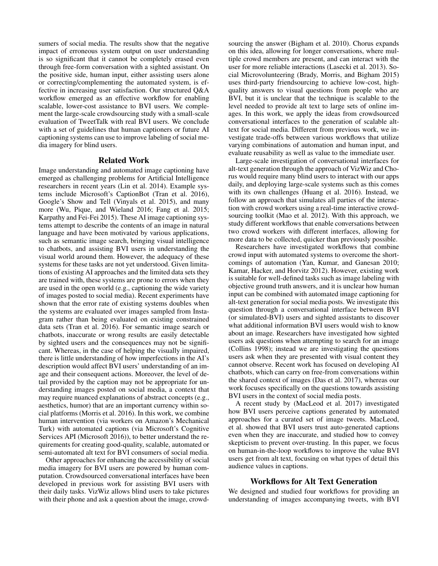sumers of social media. The results show that the negative impact of erroneous system output on user understanding is so significant that it cannot be completely erased even through free-form conversation with a sighted assistant. On the positive side, human input, either assisting users alone or correcting/complementing the automated system, is effective in increasing user satisfaction. Our structured Q&A workflow emerged as an effective workflow for enabling scalable, lower-cost assistance to BVI users. We complement the large-scale crowdsourcing study with a small-scale evaluation of TweetTalk with real BVI users. We conclude with a set of guidelines that human captioners or future AI captioning systems can use to improve labeling of social media imagery for blind users.

#### Related Work

Image understanding and automated image captioning have emerged as challenging problems for Artificial Intelligence researchers in recent years (Lin et al. 2014). Example systems include Microsoft's CaptionBot (Tran et al. 2016), Google's Show and Tell (Vinyals et al. 2015), and many more (Wu, Pique, and Wieland 2016; Fang et al. 2015; Karpathy and Fei-Fei 2015). These AI image captioning systems attempt to describe the contents of an image in natural language and have been motivated by various applications, such as semantic image search, bringing visual intelligence to chatbots, and assisting BVI users in understanding the visual world around them. However, the adequacy of these systems for these tasks are not yet understood. Given limitations of existing AI approaches and the limited data sets they are trained with, these systems are prone to errors when they are used in the open world (e.g., captioning the wide variety of images posted to social media). Recent experiments have shown that the error rate of existing systems doubles when the systems are evaluated over images sampled from Instagram rather than being evaluated on existing constrained data sets (Tran et al. 2016). For semantic image search or chatbots, inaccurate or wrong results are easily detectable by sighted users and the consequences may not be significant. Whereas, in the case of helping the visually impaired, there is little understanding of how imperfections in the AI's description would affect BVI users' understanding of an image and their consequent actions. Moreover, the level of detail provided by the caption may not be appropriate for understanding images posted on social media, a context that may require nuanced explanations of abstract concepts (e.g., aesthetics, humor) that are an important currency within social platforms (Morris et al. 2016). In this work, we combine human intervention (via workers on Amazon's Mechanical Turk) with automated captions (via Microsoft's Cognitive Services API (Microsoft 2016)), to better understand the requirements for creating good-quality, scalable, automated or semi-automated alt text for BVI consumers of social media.

Other approaches for enhancing the accessibility of social media imagery for BVI users are powered by human computation. Crowdsourced conversational interfaces have been developed in previous work for assisting BVI users with their daily tasks. VizWiz allows blind users to take pictures with their phone and ask a question about the image, crowd-

sourcing the answer (Bigham et al. 2010). Chorus expands on this idea, allowing for longer conversations, where multiple crowd members are present, and can interact with the user for more reliable interactions (Lasecki et al. 2013). Social Microvolunteering (Brady, Morris, and Bigham 2015) uses third-party friendsourcing to achieve low-cost, highquality answers to visual questions from people who are BVI, but it is unclear that the technique is scalable to the level needed to provide alt text to large sets of online images. In this work, we apply the ideas from crowdsourced conversational interfaces to the generation of scalable alttext for social media. Different from previous work, we investigate trade-offs between various workflows that utilize varying combinations of automation and human input, and evaluate reusability as well as value to the immediate user.

Large-scale investigation of conversational interfaces for alt-text generation through the approach of VizWiz and Chorus would require many blind users to interact with our apps daily, and deploying large-scale systems such as this comes with its own challenges (Huang et al. 2016). Instead, we follow an approach that simulates all parties of the interaction with crowd workers using a real-time interactive crowdsourcing toolkit (Mao et al. 2012). With this approach, we study different workflows that enable conversations between two crowd workers with different interfaces, allowing for more data to be collected, quicker than previously possible.

Researchers have investigated workflows that combine crowd input with automated systems to overcome the shortcomings of automation (Yan, Kumar, and Ganesan 2010; Kamar, Hacker, and Horvitz 2012). However, existing work is suitable for well-defined tasks such as image labeling with objective ground truth answers, and it is unclear how human input can be combined with automated image captioning for alt-text generation for social media posts. We investigate this question through a conversational interface between BVI (or simulated-BVI) users and sighted assistants to discover what additional information BVI users would wish to know about an image. Researchers have investigated how sighted users ask questions when attempting to search for an image (Collins 1998); instead we are investigating the questions users ask when they are presented with visual content they cannot observe. Recent work has focused on developing AI chatbots, which can carry on free-from conversations within the shared context of images (Das et al. 2017), whereas our work focuses specifically on the questions towards assisting BVI users in the context of social media posts.

A recent study by (MacLeod et al. 2017) investigated how BVI users perceive captions generated by automated approaches for a curated set of image tweets. MacLeod, et al. showed that BVI users trust auto-generated captions even when they are inaccurate, and studied how to convey skepticism to prevent over-trusting. In this paper, we focus on human-in-the-loop workflows to improve the value BVI users get from alt text, focusing on what types of detail this audience values in captions.

### Workflows for Alt Text Generation

We designed and studied four workflows for providing an understanding of images accompanying tweets, with BVI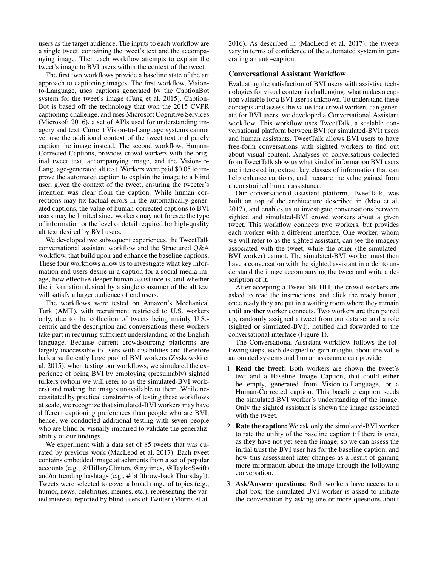users as the target audience. The inputs to each workflow are a single tweet, containing the tweet's text and the accompanying image. Then each workflow attempts to explain the tweet's image to BVI users within the context of the tweet.

The first two workflows provide a baseline state of the art approach to captioning images. The first workflow, Visionto-Language, uses captions generated by the CaptionBot system for the tweet's image (Fang et al. 2015). Caption-Bot is based off the technology that won the 2015 CVPR captioning challenge, and uses Microsoft Cognitive Services (Microsoft 2016), a set of APIs used for understanding imagery and text. Current Vision-to-Language systems cannot yet use the additional context of the tweet text and purely caption the image instead. The second workflow, Human-Corrected Captions, provides crowd workers with the original tweet text, accompanying image, and the Vision-to-Language-generated alt text. Workers were paid \$0.05 to improve the automated caption to explain the image to a blind user, given the context of the tweet, ensuring the tweeter's intention was clear from the caption. While human corrections may fix factual errors in the automatically generated captions, the value of human-corrected captions to BVI users may be limited since workers may not foresee the type of information or the level of detail required for high-quality alt text desired by BVI users.

We developed two subsequent experiences, the TweetTalk conversational assistant workflow and the Structured Q&A workflow, that build upon and enhance the baseline captions. These four workflows allow us to investigate what key information end users desire in a caption for a social media image, how effective deeper human assistance is, and whether the information desired by a single consumer of the alt text will satisfy a larger audience of end users.

The workflows were tested on Amazon's Mechanical Turk (AMT), with recruitment restricted to U.S. workers only, due to the collection of tweets being mainly U.S. centric and the description and conversations these workers take part in requiring sufficient understanding of the English language. Because current crowdsourcing platforms are largely inaccessible to users with disabilities and therefore lack a sufficiently large pool of BVI workers (Zyskowski et al. 2015), when testing our workflows, we simulated the experience of being BVI by employing (presumably) sighted turkers (whom we will refer to as the simulated-BVI workers) and making the images unavailable to them. While necessitated by practical constraints of testing these workflows at scale, we recognize that simulated-BVI workers may have different captioning preferences than people who are BVI; hence, we conducted additional testing with seven people who are blind or visually impaired to validate the generalizability of our findings.

We experiment with a data set of 85 tweets that was curated by previous work (MacLeod et al. 2017). Each tweet contains embedded image attachments from a set of popular accounts (e.g., @HillaryClinton, @nytimes, @TaylorSwift) and/or trending hashtags (e.g., #tbt [throw-back Thursday]). Tweets were selected to cover a broad range of topics (e.g., humor, news, celebrities, memes, etc.), representing the varied interests reported by blind users of Twitter (Morris et al.

2016). As described in (MacLeod et al. 2017), the tweets vary in terms of confidence of the automated system in generating an auto-caption.

#### Conversational Assistant Workflow

Evaluating the satisfaction of BVI users with assistive technologies for visual content is challenging; what makes a caption valuable for a BVI user is unknown. To understand these concepts and assess the value that crowd workers can generate for BVI users, we developed a Conversational Assistant workflow. This workflow uses TweetTalk, a scalable conversational platform between BVI (or simulated-BVI) users and human assistants. TweetTalk allows BVI users to have free-form conversations with sighted workers to find out about visual content. Analyses of conversations collected from TweetTalk show us what kind of information BVI users are interested in, extract key classes of information that can help enhance captions, and measure the value gained from unconstrained human assistance.

Our conversational assistant platform, TweetTalk, was built on top of the architecture described in (Mao et al. 2012), and enables us to investigate conversations between sighted and simulated-BVI crowd workers about a given tweet. This workflow connects two workers, but provides each worker with a different interface. One worker, whom we will refer to as the sighted assistant, can see the imagery associated with the tweet, while the other (the simulated-BVI worker) cannot. The simulated-BVI worker must then have a conversation with the sighted assistant in order to understand the image accompanying the tweet and write a description of it.

After accepting a TweetTalk HIT, the crowd workers are asked to read the instructions, and click the ready button; once ready they are put in a waiting room where they remain until another worker connects. Two workers are then paired up, randomly assigned a tweet from our data set and a role (sighted or simulated-BVI), notified and forwarded to the conversational interface (Figure 1).

The Conversational Assistant workflow follows the following steps, each designed to gain insights about the value automated systems and human assistance can provide:

- 1. Read the tweet: Both workers are shown the tweet's text and a Baseline Image Caption, that could either be empty, generated from Vision-to-Language, or a Human-Corrected caption. This baseline caption seeds the simulated-BVI worker's understanding of the image. Only the sighted assistant is shown the image associated with the tweet.
- 2. Rate the caption: We ask only the simulated-BVI worker to rate the utility of the baseline caption (if there is one), as they have not yet seen the image, so we can assess the initial trust the BVI user has for the baseline caption, and how this assessment later changes as a result of gaining more information about the image through the following conversation.
- 3. Ask/Answer questions: Both workers have access to a chat box; the simulated-BVI worker is asked to initiate the conversation by asking one or more questions about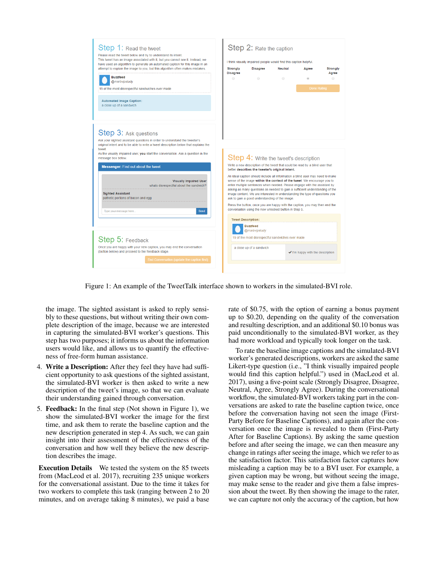

Figure 1: An example of the TweetTalk interface shown to workers in the simulated-BVI role.

the image. The sighted assistant is asked to reply sensibly to these questions, but without writing their own complete description of the image, because we are interested in capturing the simulated-BVI worker's questions. This step has two purposes; it informs us about the information users would like, and allows us to quantify the effectiveness of free-form human assistance.

- 4. Write a Description: After they feel they have had sufficient opportunity to ask questions of the sighted assistant, the simulated-BVI worker is then asked to write a new description of the tweet's image, so that we can evaluate their understanding gained through conversation.
- 5. Feedback: In the final step (Not shown in Figure 1), we show the simulated-BVI worker the image for the first time, and ask them to rerate the baseline caption and the new description generated in step 4. As such, we can gain insight into their assessment of the effectiveness of the conversation and how well they believe the new description describes the image.

Execution Details We tested the system on the 85 tweets from (MacLeod et al. 2017), recruiting 235 unique workers for the conversational assistant. Due to the time it takes for two workers to complete this task (ranging between 2 to 20 minutes, and on average taking 8 minutes), we paid a base

rate of \$0.75, with the option of earning a bonus payment up to \$0.20, depending on the quality of the conversation and resulting description, and an additional \$0.10 bonus was paid unconditionally to the simulated-BVI worker, as they had more workload and typically took longer on the task.

To rate the baseline image captions and the simulated-BVI worker's generated descriptions, workers are asked the same Likert-type question (i.e., "I think visually impaired people would find this caption helpful.") used in (MacLeod et al. 2017), using a five-point scale (Strongly Disagree, Disagree, Neutral, Agree, Strongly Agree). During the conversational workflow, the simulated-BVI workers taking part in the conversations are asked to rate the baseline caption twice, once before the conversation having not seen the image (First-Party Before for Baseline Captions), and again after the conversation once the image is revealed to them (First-Party After for Baseline Captions). By asking the same question before and after seeing the image, we can then measure any change in ratings after seeing the image, which we refer to as the satisfaction factor. This satisfaction factor captures how misleading a caption may be to a BVI user. For example, a given caption may be wrong, but without seeing the image, may make sense to the reader and give them a false impression about the tweet. By then showing the image to the rater, we can capture not only the accuracy of the caption, but how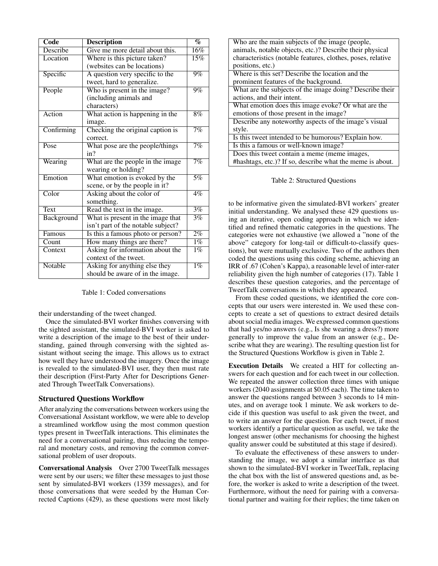| Code                      | <b>Description</b>                 | $\%$              |
|---------------------------|------------------------------------|-------------------|
| Describe                  | Give me more detail about this.    | $\overline{16\%}$ |
| Location                  | Where is this picture taken?       | $15\%$            |
|                           | (websites can be locations)        |                   |
| Specific                  | A question very specific to the    | $9\%$             |
|                           | tweet, hard to generalize.         |                   |
| People                    | Who is present in the image?       | $9\%$             |
|                           | (including animals and             |                   |
|                           | characters)                        |                   |
| Action                    | What action is happening in the    | $8\%$             |
|                           | image.                             |                   |
| Confirming                | Checking the original caption is   | 7%                |
|                           | correct.                           |                   |
| Pose                      | What pose are the people/things    | 7%                |
|                           | in?                                |                   |
| Wearing                   | What are the people in the image   | 7%                |
|                           | wearing or holding?                |                   |
| Emotion                   | What emotion is evoked by the      | $\overline{5\%}$  |
|                           | scene, or by the people in it?     |                   |
| Color                     | Asking about the color of          | $4\%$             |
|                           | something.                         |                   |
| <b>Text</b>               | Read the text in the image.        | 3%                |
| Background                | What is present in the image that  | $\overline{3\%}$  |
|                           | isn't part of the notable subject? |                   |
| Famous                    | Is this a famous photo or person?  | $2\%$             |
| $\overline{\text{Count}}$ | How many things are there?         | $1\%$             |
| Context                   | Asking for information about the   | $1\%$             |
|                           | context of the tweet.              |                   |
| <b>Notable</b>            | Asking for anything else they      | $\overline{1\%}$  |
|                           | should be aware of in the image.   |                   |

Table 1: Coded conversations

their understanding of the tweet changed.

Once the simulated-BVI worker finishes conversing with the sighted assistant, the simulated-BVI worker is asked to write a description of the image to the best of their understanding, gained through conversing with the sighted assistant without seeing the image. This allows us to extract how well they have understood the imagery. Once the image is revealed to the simulated-BVI user, they then must rate their description (First-Party After for Descriptions Generated Through TweetTalk Conversations).

#### Structured Questions Workflow

After analyzing the conversations between workers using the Conversational Assistant workflow, we were able to develop a streamlined workflow using the most common question types present in TweetTalk interactions. This eliminates the need for a conversational pairing, thus reducing the temporal and monetary costs, and removing the common conversational problem of user dropouts.

Conversational Analysis Over 2700 TweetTalk messages were sent by our users; we filter these messages to just those sent by simulated-BVI workers (1359 messages), and for those conversations that were seeded by the Human Corrected Captions (429), as these questions were most likely

| Who are the main subjects of the image (people,             |  |  |  |  |  |
|-------------------------------------------------------------|--|--|--|--|--|
| animals, notable objects, etc.)? Describe their physical    |  |  |  |  |  |
| characteristics (notable features, clothes, poses, relative |  |  |  |  |  |
| positions, etc.)                                            |  |  |  |  |  |
| Where is this set? Describe the location and the            |  |  |  |  |  |
| prominent features of the background.                       |  |  |  |  |  |
| What are the subjects of the image doing? Describe their    |  |  |  |  |  |
| actions, and their intent.                                  |  |  |  |  |  |
| What emotion does this image evoke? Or what are the         |  |  |  |  |  |
| emotions of those present in the image?                     |  |  |  |  |  |
| Describe any noteworthy aspects of the image's visual       |  |  |  |  |  |
| style.                                                      |  |  |  |  |  |
| Is this tweet intended to be humorous? Explain how.         |  |  |  |  |  |
| Is this a famous or well-known image?                       |  |  |  |  |  |
| Does this tweet contain a meme (meme images,                |  |  |  |  |  |
| #hashtags, etc.)? If so, describe what the meme is about.   |  |  |  |  |  |
|                                                             |  |  |  |  |  |

Table 2: Structured Questions

to be informative given the simulated-BVI workers' greater initial understanding. We analysed these 429 questions using an iterative, open coding approach in which we identified and refined thematic categories in the questions. The categories were not exhaustive (we allowed a "none of the above" category for long-tail or difficult-to-classify questions), but were mutually exclusive. Two of the authors then coded the questions using this coding scheme, achieving an IRR of .67 (Cohen's Kappa), a reasonable level of inter-rater reliability given the high number of categories (17). Table 1 describes these question categories, and the percentage of TweetTalk conversations in which they appeared.

From these coded questions, we identified the core concepts that our users were interested in. We used these concepts to create a set of questions to extract desired details about social media images. We expressed common questions that had yes/no answers (e.g., Is she wearing a dress?) more generally to improve the value from an answer (e.g., Describe what they are wearing). The resulting question list for the Structured Questions Workflow is given in Table 2.

Execution Details We created a HIT for collecting answers for each question and for each tweet in our collection. We repeated the answer collection three times with unique workers (2040 assignments at \$0.05 each). The time taken to answer the questions ranged between 3 seconds to 14 minutes, and on average took 1 minute. We ask workers to decide if this question was useful to ask given the tweet, and to write an answer for the question. For each tweet, if most workers identify a particular question as useful, we take the longest answer (other mechanisms for choosing the highest quality answer could be substituted at this stage if desired).

To evaluate the effectiveness of these answers to understanding the image, we adopt a similar interface as that shown to the simulated-BVI worker in TweetTalk, replacing the chat box with the list of answered questions and, as before, the worker is asked to write a description of the tweet. Furthermore, without the need for pairing with a conversational partner and waiting for their replies; the time taken on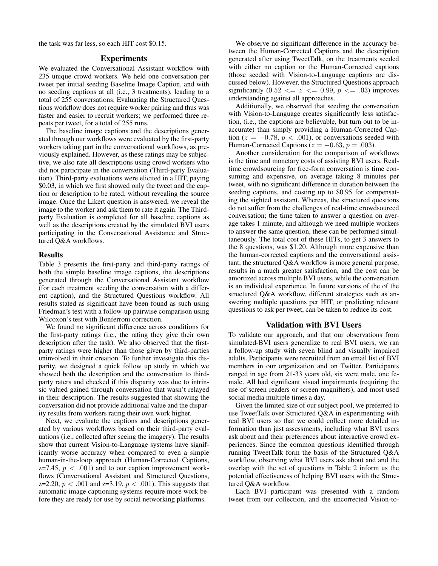the task was far less, so each HIT cost \$0.15.

## Experiments

We evaluated the Conversational Assistant workflow with 235 unique crowd workers. We held one conversation per tweet per initial seeding Baseline Image Caption, and with no seeding captions at all (i.e., 3 treatments), leading to a total of 255 conversations. Evaluating the Structured Questions workflow does not require worker pairing and thus was faster and easier to recruit workers; we performed three repeats per tweet, for a total of 255 runs.

The baseline image captions and the descriptions generated through our workflows were evaluated by the first-party workers taking part in the conversational workflows, as previously explained. However, as these ratings may be subjective, we also rate all descriptions using crowd workers who did not participate in the conversation (Third-party Evaluation). Third-party evaluations were elicited in a HIT, paying \$0.03, in which we first showed only the tweet and the caption or description to be rated, without revealing the source image. Once the Likert question is answered, we reveal the image to the worker and ask them to rate it again. The Thirdparty Evaluation is completed for all baseline captions as well as the descriptions created by the simulated BVI users participating in the Conversational Assistance and Structured Q&A workflows.

#### Results

Table 3 presents the first-party and third-party ratings of both the simple baseline image captions, the descriptions generated through the Conversational Assistant workflow (for each treatment seeding the conversation with a different caption), and the Structured Questions workflow. All results stated as significant have been found as such using Friedman's test with a follow-up pairwise comparison using Wilcoxon's test with Bonferroni correction.

We found no significant difference across conditions for the first-party ratings (i.e., the rating they give their own description after the task). We also observed that the firstparty ratings were higher than those given by third-parties uninvolved in their creation. To further investigate this disparity, we designed a quick follow up study in which we showed both the description and the conversation to thirdparty raters and checked if this disparity was due to intrinsic valued gained through conversation that wasn't relayed in their description. The results suggested that showing the conversation did not provide additional value and the disparity results from workers rating their own work higher.

Next, we evaluate the captions and descriptions generated by various workflows based on their third-party evaluations (i.e., collected after seeing the imagery). The results show that current Vision-to-Language systems have significantly worse accuracy when compared to even a simple human-in-the-loop approach (Human-Corrected Captions, z=7.45,  $p < .001$ ) and to our caption improvement workflows (Conversational Assistant and Structured Questions, z=2.20,  $p < .001$  and z=3.19,  $p < .001$ ). This suggests that automatic image captioning systems require more work before they are ready for use by social networking platforms.

We observe no significant difference in the accuracy between the Human-Corrected Captions and the description generated after using TweetTalk, on the treatments seeded with either no caption or the Human-Corrected captions (those seeded with Vision-to-Language captions are discussed below). However, the Structured Questions approach significantly  $(0.52 \le z \le 0.99, p \le 0.03)$  improves understanding against all approaches.

Additionally, we observed that seeding the conversation with Vision-to-Language creates significantly less satisfaction, (i.e., the captions are believable, but turn out to be inaccurate) than simply providing a Human-Corrected Caption ( $z = -0.78$ ,  $p < .001$ ), or conversations seeded with Human-Corrected Captions ( $z = -0.63$ ,  $p = .003$ ).

Another consideration for the comparison of workflows is the time and monetary costs of assisting BVI users. Realtime crowdsourcing for free-form conversation is time consuming and expensive, on average taking 8 minutes per tweet, with no significant difference in duration between the seeding captions, and costing up to \$0.95 for compensating the sighted assistant. Whereas, the structured questions do not suffer from the challenges of real-time crowdsourced conversation; the time taken to answer a question on average takes 1 minute, and although we need multiple workers to answer the same question, these can be performed simultaneously. The total cost of these HITs, to get 3 answers to the 8 questions, was \$1.20. Although more expensive than the human-corrected captions and the conversational assistant, the structured Q&A workflow is more general purpose, results in a much greater satisfaction, and the cost can be amortized across multiple BVI users, while the conversation is an individual experience. In future versions of the of the structured Q&A workflow, different strategies such as answering multiple questions per HIT, or predicting relevant questions to ask per tweet, can be taken to reduce its cost.

#### Validation with BVI Users

To validate our approach, and that our observations from simulated-BVI users generalize to real BVI users, we ran a follow-up study with seven blind and visually impaired adults. Participants were recruited from an email list of BVI members in our organization and on Twitter. Participants ranged in age from 21-33 years old, six were male, one female. All had significant visual impairments (requiring the use of screen readers or screen magnifiers), and most used social media multiple times a day.

Given the limited size of our subject pool, we preferred to use TweetTalk over Structured Q&A in experimenting with real BVI users so that we could collect more detailed information than just assessments, including what BVI users ask about and their preferences about interactive crowd experiences. Since the common questions identified through running TweetTalk form the basis of the Structured Q&A workflow, observing what BVI users ask about and and the overlap with the set of questions in Table 2 inform us the potential effectiveness of helping BVI users with the Structured Q&A workflow.

Each BVI participant was presented with a random tweet from our collection, and the uncorrected Vision-to-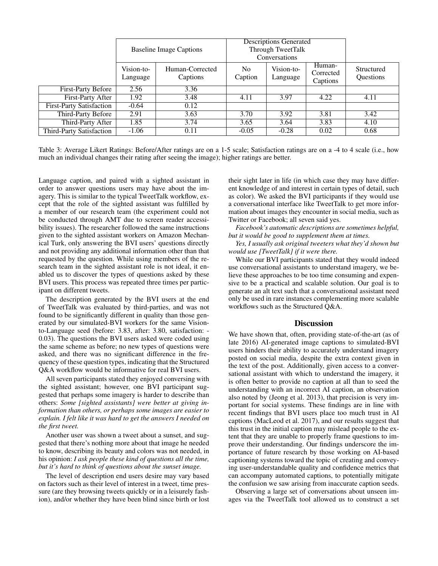|                                 | <b>Baseline Image Captions</b> |                             | <b>Descriptions Generated</b><br>Through TweetTalk<br>Conversations |                        |                                 |                         |
|---------------------------------|--------------------------------|-----------------------------|---------------------------------------------------------------------|------------------------|---------------------------------|-------------------------|
|                                 | Vision-to-<br>Language         | Human-Corrected<br>Captions | No.<br>Caption                                                      | Vision-to-<br>Language | Human-<br>Corrected<br>Captions | Structured<br>Questions |
| <b>First-Party Before</b>       | 2.56                           | 3.36                        |                                                                     |                        |                                 |                         |
| First-Party After               | 1.92                           | 3.48                        | 4.11                                                                | 3.97                   | 4.22                            | 4.11                    |
| <b>First-Party Satisfaction</b> | $-0.64$                        | 0.12                        |                                                                     |                        |                                 |                         |
| Third-Party Before              | 2.91                           | 3.63                        | 3.70                                                                | 3.92                   | 3.81                            | 3.42                    |
| Third-Party After               | 1.85                           | 3.74                        | 3.65                                                                | 3.64                   | 3.83                            | 4.10                    |
| <b>Third-Party Satisfaction</b> | $-1.06$                        | 0.11                        | $-0.05$                                                             | $-0.28$                | 0.02                            | 0.68                    |

Table 3: Average Likert Ratings: Before/After ratings are on a 1-5 scale; Satisfaction ratings are on a -4 to 4 scale (i.e., how much an individual changes their rating after seeing the image); higher ratings are better.

Language caption, and paired with a sighted assistant in order to answer questions users may have about the imagery. This is similar to the typical TweetTalk workflow, except that the role of the sighted assistant was fulfilled by a member of our research team (the experiment could not be conducted through AMT due to screen reader accessibility issues). The researcher followed the same instructions given to the sighted assistant workers on Amazon Mechanical Turk, only answering the BVI users' questions directly and not providing any additional information other than that requested by the question. While using members of the research team in the sighted assistant role is not ideal, it enabled us to discover the types of questions asked by these BVI users. This process was repeated three times per participant on different tweets.

The description generated by the BVI users at the end of TweetTalk was evaluated by third-parties, and was not found to be significantly different in quality than those generated by our simulated-BVI workers for the same Visionto-Language seed (before: 3.83, after: 3.80, satisfaction: - 0.03). The questions the BVI users asked were coded using the same scheme as before; no new types of questions were asked, and there was no significant difference in the frequency of these question types, indicating that the Structured Q&A workflow would be informative for real BVI users.

All seven participants stated they enjoyed conversing with the sighted assistant; however, one BVI participant suggested that perhaps some imagery is harder to describe than others: *Some [sighted assistants] were better at giving information than others, or perhaps some images are easier to explain. I felt like it was hard to get the answers I needed on the first tweet.*

Another user was shown a tweet about a sunset, and suggested that there's nothing more about that image he needed to know, describing its beauty and colors was not needed, in his opinion: *I ask people these kind of questions all the time, but it's hard to think of questions about the sunset image.*

The level of description end users desire may vary based on factors such as their level of interest in a tweet, time pressure (are they browsing tweets quickly or in a leisurely fashion), and/or whether they have been blind since birth or lost

their sight later in life (in which case they may have different knowledge of and interest in certain types of detail, such as color). We asked the BVI participants if they would use a conversational interface like TweetTalk to get more information about images they encounter in social media, such as Twitter or Facebook; all seven said yes.

*Facebook's automatic descriptions are sometimes helpful, but it would be good to supplement them at times.*

*Yes, I usually ask original tweeters what they'd shown but would use [TweetTalk] if it were there.*

While our BVI participants stated that they would indeed use conversational assistants to understand imagery, we believe these approaches to be too time consuming and expensive to be a practical and scalable solution. Our goal is to generate an alt text such that a conversational assistant need only be used in rare instances complementing more scalable workflows such as the Structured Q&A.

## **Discussion**

We have shown that, often, providing state-of-the-art (as of late 2016) AI-generated image captions to simulated-BVI users hinders their ability to accurately understand imagery posted on social media, despite the extra context given in the text of the post. Additionally, given access to a conversational assistant with which to understand the imagery, it is often better to provide no caption at all than to seed the understanding with an incorrect AI caption, an observation also noted by (Jeong et al. 2013), that precision is very important for social systems. These findings are in line with recent findings that BVI users place too much trust in AI captions (MacLeod et al. 2017), and our results suggest that this trust in the initial caption may mislead people to the extent that they are unable to properly frame questions to improve their understanding. Our findings underscore the importance of future research by those working on AI-based captioning systems toward the topic of creating and conveying user-understandable quality and confidence metrics that can accompany automated captions, to potentially mitigate the confusion we saw arising from inaccurate caption seeds.

Observing a large set of conversations about unseen images via the TweetTalk tool allowed us to construct a set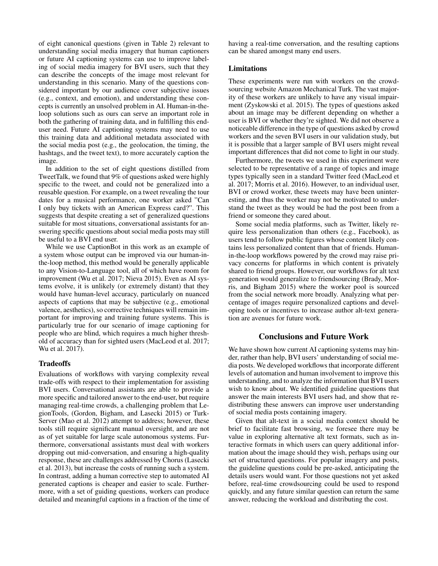of eight canonical questions (given in Table 2) relevant to understanding social media imagery that human captioners or future AI captioning systems can use to improve labeling of social media imagery for BVI users, such that they can describe the concepts of the image most relevant for understanding in this scenario. Many of the questions considered important by our audience cover subjective issues (e.g., context, and emotion), and understanding these concepts is currently an unsolved problem in AI. Human-in-theloop solutions such as ours can serve an important role in both the gathering of training data, and in fulfilling this enduser need. Future AI captioning systems may need to use this training data and additional metadata associated with the social media post (e.g., the geolocation, the timing, the hashtags, and the tweet text), to more accurately caption the image.

In addition to the set of eight questions distilled from TweetTalk, we found that 9% of questions asked were highly specific to the tweet, and could not be generalized into a reusable question. For example, on a tweet revealing the tour dates for a musical performance, one worker asked "Can I only buy tickets with an American Express card?". This suggests that despite creating a set of generalized questions suitable for most situations, conversational assistants for answering specific questions about social media posts may still be useful to a BVI end user.

While we use CaptionBot in this work as an example of a system whose output can be improved via our human-inthe-loop method, this method would be generally applicable to any Vision-to-Language tool, all of which have room for improvement (Wu et al. 2017; Nieva 2015). Even as AI systems evolve, it is unlikely (or extremely distant) that they would have human-level accuracy, particularly on nuanced aspects of captions that may be subjective (e.g., emotional valence, aesthetics), so corrective techniques will remain important for improving and training future systems. This is particularly true for our scenario of image captioning for people who are blind, which requires a much higher threshold of accuracy than for sighted users (MacLeod et al. 2017; Wu et al. 2017).

#### **Tradeoffs**

Evaluations of workflows with varying complexity reveal trade-offs with respect to their implementation for assisting BVI users. Conversational assistants are able to provide a more specific and tailored answer to the end-user, but require managing real-time crowds, a challenging problem that LegionTools, (Gordon, Bigham, and Lasecki 2015) or Turk-Server (Mao et al. 2012) attempt to address; however, these tools still require significant manual oversight, and are not as of yet suitable for large scale autonomous systems. Furthermore, conversational assistants must deal with workers dropping out mid-conversation, and ensuring a high-quality response, these are challenges addressed by Chorus (Lasecki et al. 2013), but increase the costs of running such a system. In contrast, adding a human corrective step to automated AI generated captions is cheaper and easier to scale. Furthermore, with a set of guiding questions, workers can produce detailed and meaningful captions in a fraction of the time of having a real-time conversation, and the resulting captions can be shared amongst many end users.

## Limitations

These experiments were run with workers on the crowdsourcing website Amazon Mechanical Turk. The vast majority of these workers are unlikely to have any visual impairment (Zyskowski et al. 2015). The types of questions asked about an image may be different depending on whether a user is BVI or whether they're sighted. We did not observe a noticeable difference in the type of questions asked by crowd workers and the seven BVI users in our validation study, but it is possible that a larger sample of BVI users might reveal important differences that did not come to light in our study.

Furthermore, the tweets we used in this experiment were selected to be representative of a range of topics and image types typically seen in a standard Twitter feed (MacLeod et al. 2017; Morris et al. 2016). However, to an individual user, BVI or crowd worker, these tweets may have been uninteresting, and thus the worker may not be motivated to understand the tweet as they would be had the post been from a friend or someone they cared about.

Some social media platforms, such as Twitter, likely require less personalization than others (e.g., Facebook), as users tend to follow public figures whose content likely contains less personalized content than that of friends. Humanin-the-loop workflows powered by the crowd may raise privacy concerns for platforms in which content is privately shared to friend groups. However, our workflows for alt text generation would generalize to friendsourcing (Brady, Morris, and Bigham 2015) where the worker pool is sourced from the social network more broadly. Analyzing what percentage of images require personalized captions and developing tools or incentives to increase author alt-text generation are avenues for future work.

# Conclusions and Future Work

We have shown how current AI captioning systems may hinder, rather than help, BVI users' understanding of social media posts. We developed workflows that incorporate different levels of automation and human involvement to improve this understanding, and to analyze the information that BVI users wish to know about. We identified guideline questions that answer the main interests BVI users had, and show that redistributing these answers can improve user understanding of social media posts containing imagery.

Given that alt-text in a social media context should be brief to facilitate fast browsing, we foresee there may be value in exploring alternative alt text formats, such as interactive formats in which users can query additional information about the image should they wish, perhaps using our set of structured questions. For popular imagery and posts, the guideline questions could be pre-asked, anticipating the details users would want. For those questions not yet asked before, real-time crowdsourcing could be used to respond quickly, and any future similar question can return the same answer, reducing the workload and distributing the cost.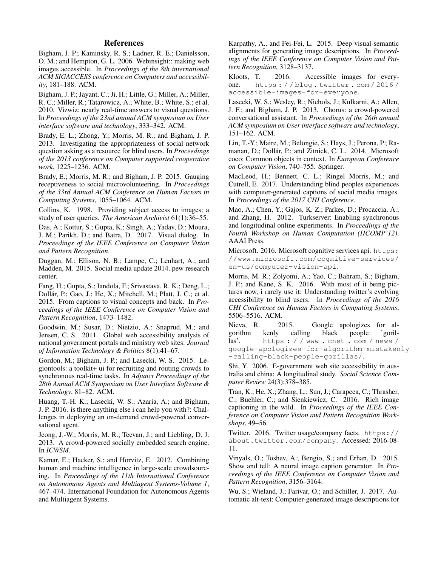## References

Bigham, J. P.; Kaminsky, R. S.; Ladner, R. E.; Danielsson, O. M.; and Hempton, G. L. 2006. Webinsight:: making web images accessible. In *Proceedings of the 8th international ACM SIGACCESS conference on Computers and accessibility*, 181–188. ACM.

Bigham, J. P.; Jayant, C.; Ji, H.; Little, G.; Miller, A.; Miller, R. C.; Miller, R.; Tatarowicz, A.; White, B.; White, S.; et al. 2010. Vizwiz: nearly real-time answers to visual questions. In *Proceedings of the 23nd annual ACM symposium on User interface software and technology*, 333–342. ACM.

Brady, E. L.; Zhong, Y.; Morris, M. R.; and Bigham, J. P. 2013. Investigating the appropriateness of social network question asking as a resource for blind users. In *Proceedings of the 2013 conference on Computer supported cooperative work*, 1225–1236. ACM.

Brady, E.; Morris, M. R.; and Bigham, J. P. 2015. Gauging receptiveness to social microvolunteering. In *Proceedings of the 33rd Annual ACM Conference on Human Factors in Computing Systems*, 1055–1064. ACM.

Collins, K. 1998. Providing subject access to images: a study of user queries. *The American Archivist* 61(1):36–55.

Das, A.; Kottur, S.; Gupta, K.; Singh, A.; Yadav, D.; Moura, J. M.; Parikh, D.; and Batra, D. 2017. Visual dialog. In *Proceedings of the IEEE Conference on Computer Vision and Pattern Recognition*.

Duggan, M.; Ellison, N. B.; Lampe, C.; Lenhart, A.; and Madden, M. 2015. Social media update 2014. pew research center.

Fang, H.; Gupta, S.; Iandola, F.; Srivastava, R. K.; Deng, L.; Dollár, P.; Gao, J.; He, X.; Mitchell, M.; Platt, J. C.; et al. 2015. From captions to visual concepts and back. In *Proceedings of the IEEE Conference on Computer Vision and Pattern Recognition*, 1473–1482.

Goodwin, M.; Susar, D.; Nietzio, A.; Snaprud, M.; and Jensen, C. S. 2011. Global web accessibility analysis of national government portals and ministry web sites. *Journal of Information Technology & Politics* 8(1):41–67.

Gordon, M.; Bigham, J. P.; and Lasecki, W. S. 2015. Legiontools: a toolkit+ ui for recruiting and routing crowds to synchronous real-time tasks. In *Adjunct Proceedings of the 28th Annual ACM Symposium on User Interface Software & Technology*, 81–82. ACM.

Huang, T.-H. K.; Lasecki, W. S.; Azaria, A.; and Bigham, J. P. 2016. is there anything else i can help you with?: Challenges in deploying an on-demand crowd-powered conversational agent.

Jeong, J.-W.; Morris, M. R.; Teevan, J.; and Liebling, D. J. 2013. A crowd-powered socially embedded search engine. In *ICWSM*.

Kamar, E.; Hacker, S.; and Horvitz, E. 2012. Combining human and machine intelligence in large-scale crowdsourcing. In *Proceedings of the 11th International Conference on Autonomous Agents and Multiagent Systems-Volume 1*, 467–474. International Foundation for Autonomous Agents and Multiagent Systems.

Karpathy, A., and Fei-Fei, L. 2015. Deep visual-semantic alignments for generating image descriptions. In *Proceedings of the IEEE Conference on Computer Vision and Pattern Recognition*, 3128–3137.

Kloots, T. 2016. Accessible images for everyone. https : / / blog . twitter . com / 2016 / accessible-images-for-everyone.

Lasecki, W. S.; Wesley, R.; Nichols, J.; Kulkarni, A.; Allen, J. F.; and Bigham, J. P. 2013. Chorus: a crowd-powered conversational assistant. In *Proceedings of the 26th annual ACM symposium on User interface software and technology*, 151–162. ACM.

Lin, T.-Y.; Maire, M.; Belongie, S.; Hays, J.; Perona, P.; Ramanan, D.; Dollár, P.; and Zitnick, C. L. 2014. Microsoft coco: Common objects in context. In *European Conference on Computer Vision*, 740–755. Springer.

MacLeod, H.; Bennett, C. L.; Ringel Morris, M.; and Cutrell, E. 2017. Understanding blind peoples experiences with computer-generated captions of social media images. In *Proceedings of the 2017 CHI Conference*.

Mao, A.; Chen, Y.; Gajos, K. Z.; Parkes, D.; Procaccia, A.; and Zhang, H. 2012. Turkserver: Enabling synchronous and longitudinal online experiments. In *Proceedings of the Fourth Workshop on Human Computation (HCOMP'12)*. AAAI Press.

Microsoft. 2016. Microsoft cognitive services api. https: //www.microsoft.com/cognitive-services/ en-us/computer-vision-api.

Morris, M. R.; Zolyomi, A.; Yao, C.; Bahram, S.; Bigham, J. P.; and Kane, S. K. 2016. With most of it being pictures now, i rarely use it: Understanding twitter's evolving accessibility to blind users. In *Proceedings of the 2016 CHI Conference on Human Factors in Computing Systems*, 5506–5516. ACM.

Nieva, R. 2015. Google apologizes for algorithm kenly calling black people 'gorillas'. https://www.cnet.com/news/ google-apologizes-for-algorithm-mistakenly -calling-black-people-gorillas/.

Shi, Y. 2006. E-government web site accessibility in australia and china: A longitudinal study. *Social Science Computer Review* 24(3):378–385.

Tran, K.; He, X.; Zhang, L.; Sun, J.; Carapcea, C.; Thrasher, C.; Buehler, C.; and Sienkiewicz, C. 2016. Rich image captioning in the wild. In *Proceedings of the IEEE Conference on Computer Vision and Pattern Recognition Workshops*, 49–56.

Twitter. 2016. Twitter usage/company facts. https:// about.twitter.com/company. Accessed: 2016-08- 11.

Vinyals, O.; Toshev, A.; Bengio, S.; and Erhan, D. 2015. Show and tell: A neural image caption generator. In *Proceedings of the IEEE Conference on Computer Vision and Pattern Recognition*, 3156–3164.

Wu, S.; Wieland, J.; Farivar, O.; and Schiller, J. 2017. Automatic alt-text: Computer-generated image descriptions for